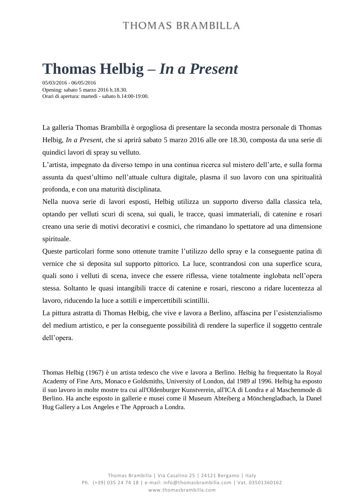## THOMAS BRAMBILLA

## **Thomas Helbig –** *In a Present*

05/03/2016 - 06/05/2016 Opening: sabato 5 marzo 2016 h.18.30. Orari di apertura: martedì - sabato h.14:00-19:00.

La galleria Thomas Brambilla è orgogliosa di presentare la seconda mostra personale di Thomas Helbig, *In a Present*, che si aprirà sabato 5 marzo 2016 alle ore 18.30, composta da una serie di quindici lavori di spray su velluto.

L'artista, impegnato da diverso tempo in una continua ricerca sul mistero dell'arte, e sulla forma assunta da quest'ultimo nell'attuale cultura digitale, plasma il suo lavoro con una spiritualità profonda, e con una maturità disciplinata.

Nella nuova serie di lavori esposti, Helbig utilizza un supporto diverso dalla classica tela, optando per velluti scuri di scena, sui quali, le tracce, quasi immateriali, di catenine e rosari creano una serie di motivi decorativi e cosmici, che rimandano lo spettatore ad una dimensione spirituale.

Queste particolari forme sono ottenute tramite l'utilizzo dello spray e la conseguente patina di vernice che si deposita sul supporto pittorico. La luce, scontrandosi con una superfice scura, quali sono i velluti di scena, invece che essere riflessa, viene totalmente inglobata nell'opera stessa. Soltanto le quasi intangibili tracce di catenine e rosari, riescono a ridare lucentezza al lavoro, riducendo la luce a sottili e impercettibili scintillii.

La pittura astratta di Thomas Helbig, che vive e lavora a Berlino, affascina per l'esistenzialismo del medium artistico, e per la conseguente possibilità di rendere la superfice il soggetto centrale dell'opera.

Thomas Helbig (1967) è un artista tedesco che vive e lavora a Berlino. Helbig ha frequentato la Royal Academy of Fine Arts, Monaco e Goldsmiths, University of London, dal 1989 al 1996. Helbig ha esposto il suo lavoro in molte mostre tra cui all'Oldenburger Kunstverein, all'ICA di Londra e al Maschenmode di Berlino. Ha anche esposto in gallerie e musei come il Museum Abteiberg a Mönchengladbach, la Danel Hug Gallery a Los Angeles e The Approach a Londra.